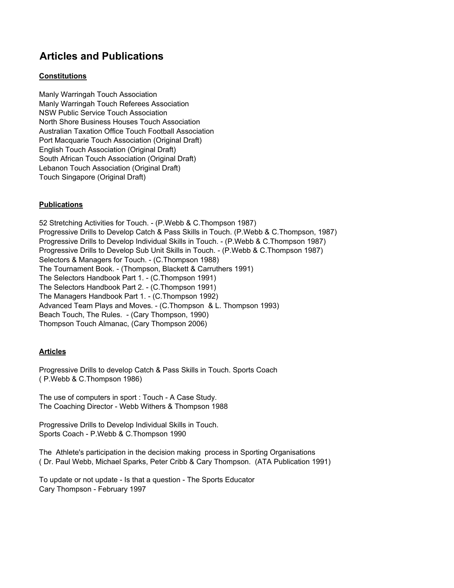# **Articles and Publications**

## **Constitutions**

Manly Warringah Touch Association Manly Warringah Touch Referees Association NSW Public Service Touch Association North Shore Business Houses Touch Association Australian Taxation Office Touch Football Association Port Macquarie Touch Association (Original Draft) English Touch Association (Original Draft) South African Touch Association (Original Draft) Lebanon Touch Association (Original Draft) Touch Singapore (Original Draft)

## **Publications**

52 Stretching Activities for Touch. - (P.Webb & C.Thompson 1987) Progressive Drills to Develop Catch & Pass Skills in Touch. (P.Webb & C.Thompson, 1987) Progressive Drills to Develop Individual Skills in Touch. - (P.Webb & C.Thompson 1987) Progressive Drills to Develop Sub Unit Skills in Touch. - (P.Webb & C.Thompson 1987) Selectors & Managers for Touch. - (C.Thompson 1988) The Tournament Book. - (Thompson, Blackett & Carruthers 1991) The Selectors Handbook Part 1. - (C.Thompson 1991) The Selectors Handbook Part 2. - (C.Thompson 1991) The Managers Handbook Part 1. - (C.Thompson 1992) Advanced Team Plays and Moves. - (C.Thompson & L. Thompson 1993) Beach Touch, The Rules. - (Cary Thompson, 1990) Thompson Touch Almanac, (Cary Thompson 2006)

#### **Articles**

Progressive Drills to develop Catch & Pass Skills in Touch. Sports Coach ( P.Webb & C.Thompson 1986)

The use of computers in sport : Touch - A Case Study. The Coaching Director - Webb Withers & Thompson 1988

Progressive Drills to Develop Individual Skills in Touch. Sports Coach - P.Webb & C.Thompson 1990

The Athlete's participation in the decision making process in Sporting Organisations ( Dr. Paul Webb, Michael Sparks, Peter Cribb & Cary Thompson. (ATA Publication 1991)

To update or not update - Is that a question - The Sports Educator Cary Thompson - February 1997